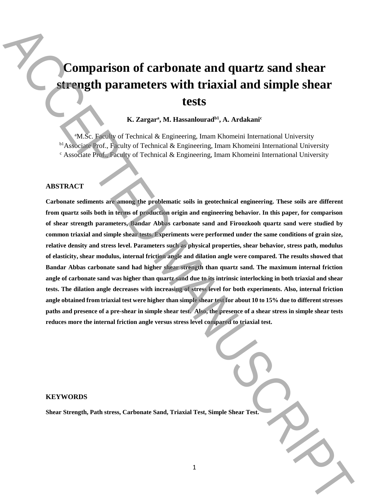# **Comparison of carbonate and quartz sand shear strength parameters with triaxial and simple shear tests**

# **K. Zargar<sup>a</sup> , M. Hassanlouradb1 , A. Ardakani<sup>c</sup>**

<sup>a</sup>M.Sc. Faculty of Technical & Engineering, Imam Khomeini International University b1 Associate Prof., Faculty of Technical & Engineering, Imam Khomeini International University  $c$  Associate Prof., Faculty of Technical & Engineering, Imam Khomeini International University

# **ABSTRACT**

**Carbonate sediments are among the problematic soils in geotechnical engineering. These soils are different from quartz soils both in terms of production origin and engineering behavior. In this paper, for comparison of shear strength parameters, Bandar Abbas carbonate sand and Firoozkooh quartz sand were studied by common triaxial and simple shear tests. Experiments were performed under the same conditions of grain size, relative density and stress level. Parameters such as physical properties, shear behavior, stress path, modulus of elasticity, shear modulus, internal friction angle and dilation angle were compared. The results showed that Bandar Abbas carbonate sand had higher shear strength than quartz sand. The maximum internal friction angle of carbonate sand was higher than quartz sand due to its intrinsic interlocking in both triaxial and shear tests. The dilation angle decreases with increasing of stress level for both experiments. Also, internal friction angle obtained from triaxial test were higher than simple shear test for about 10 to 15% due to different stresses paths and presence of a pre-shear in simple shear test. Also, the presence of a shear stress in simple shear tests reduces more the internal friction angle versus stress level compared to triaxial test. Schemation of Carbonate and quartz sand shear Strength, Parameters with triaxial and simple shear tests.**<br>
K. Zargart M. Hassalound<sup>21</sup>, A. Artistical Strength, Triaxis (State Strength, Triaxis (State Strength, Triangele,

#### **KEYWORDS**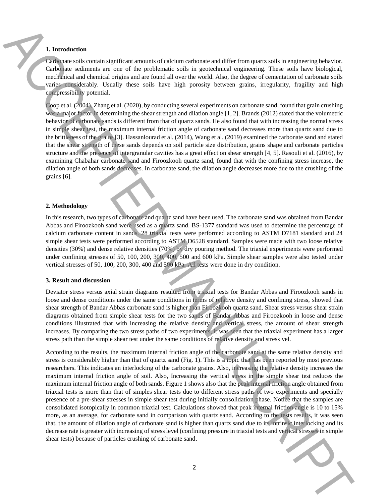# **1. Introduction**

Carbonate soils contain significant amounts of calcium carbonate and differ from quartz soils in engineering behavior. Carbonate sediments are one of the problematic soils in geotechnical engineering. These soils have biological, mechanical and chemical origins and are found all over the world. Also, the degree of cementation of carbonate soils varies considerably. Usually these soils have high porosity between grains, irregularity, fragility and high compressibility potential.

Coop et al. (2004), Zhang et al. (2020), by conducting several experiments on carbonate sand, found that grain crushing was a major factor in determining the shear strength and dilation angle [1, 2]. Brands (2012) stated that the volumetric behavior of carbonate sands is different from that of quartz sands. He also found that with increasing the normal stress in simple shear test, the maximum internal friction angle of carbonate sand decreases more than quartz sand due to the brittleness of the grains [3]. Hassanlourad et al. (2014), Wang et al. (2019) examined the carbonate sand and stated that the shear strength of these sands depends on soil particle size distribution, grains shape and carbonate particles structure and the presence of intergranular cavities has a great effect on shear strength [4, 5]. Rasouli et al. (2016), by examining Chabahar carbonate sand and Firoozkooh quartz sand, found that with the confining stress increase, the dilation angle of both sands decreases. In carbonate sand, the dilation angle decreases more due to the crushing of the grains [6].

## **2. Methodology**

In this research, two types of carbonate and quartz sand have been used. The carbonate sand was obtained from Bandar Abbas and Firoozkooh sand were used as a quartz sand. BS-1377 standard was used to determine the percentage of calcium carbonate content in sands. 28 triaxial tests were performed according to ASTM D7181 standard and 24 simple shear tests were performed according to ASTM D6528 standard. Samples were made with two loose relative densities (30%) and dense relative densities (70%) by dry pouring method. The triaxial experiments were performed under confining stresses of 50, 100, 200, 300, 400, 500 and 600 kPa. Simple shear samples were also tested under vertical stresses of 50, 100, 200, 300, 400 and 500 kPa. All tests were done in dry condition.

#### **3. Result and discussion**

Deviator stress versus axial strain diagrams resulted from triaxial tests for Bandar Abbas and Firoozkooh sands in loose and dense conditions under the same conditions in terms of relative density and confining stress, showed that shear strength of Bandar Abbas carbonate sand is higher than Firoozkooh quartz sand. Shear stress versus shear strain diagrams obtained from simple shear tests for the two sands of Bandar Abbas and Firoozkooh in loose and dense conditions illustrated that with increasing the relative density and vertical stress, the amount of shear strength increases. By comparing the two stress paths of two experiments, it was seen that the triaxial experiment has a larger stress path than the simple shear test under the same conditions of relative density and stress vel.

According to the results, the maximum internal friction angle of the carbonate sand at the same relative density and stress is considerably higher than that of quartz sand (Fig. 1). This is a topic that has been reported by most previous researchers. This indicates an interlocking of the carbonate grains. Also, increasing the relative density increases the maximum internal friction angle of soil. Also, Increasing the vertical stress in the simple shear test reduces the maximum internal friction angle of both sands. Figure 1 shows also that the peak internal friction angle obtained from triaxial tests is more than that of simples shear tests due to different stress paths of two experiments and specially presence of a pre-shear stresses in simple shear test during initially consolidation phase. Notice that the samples are consolidated isotopically in common triaxial test. Calculations showed that peak internal friction angle is 10 to 15% more, as an average, for carbonate sand in comparison with quartz sand. According to the tests results, it was seen that, the amount of dilation angle of carbonate sand is higher than quartz sand due to its intrinsic interlocking and its decrease rate is greater with increasing of stress level (confining pressure in triaxial tests and vertical stresses in simple shear tests) because of particles crushing of carbonate sand. **1. LET CONTROLL INTERFERENCE INTO A CONTROLL INTERFERENCE INTO A CONTROLL INTERFERENCE CONTROLL INTO A CONTROLL INTERFERENCE INTO A CONTROLL INTERFERENCE INTO A CONTROLL INTERFERENCE INTO A CONTROLL INTERFERENCE INTO A C** 

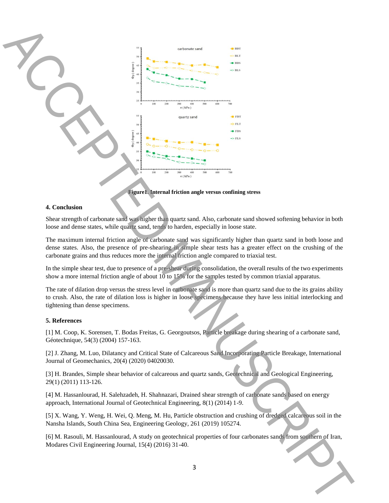

**Figure1. Internal friction angle versus confining stress**

## **4. Conclusion**

Shear strength of carbonate sand was higher than quartz sand. Also, carbonate sand showed softening behavior in both loose and dense states, while quartz sand, tends to harden, especially in loose state.

The maximum internal friction angle of carbonate sand was significantly higher than quartz sand in both loose and dense states. Also, the presence of pre-shearing in simple shear tests has a greater effect on the crushing of the carbonate grains and thus reduces more the internal friction angle compared to triaxial test.

In the simple shear test, due to presence of a pre-shear during consolidation, the overall results of the two experiments show a more internal friction angle of about 10 to 15% for the samples tested by common triaxial apparatus.

The rate of dilation drop versus the stress level in carbonate sand is more than quartz sand due to the its grains ability to crush. Also, the rate of dilation loss is higher in loose specimens because they have less initial interlocking and tightening than dense specimens.

## **5. References**

[1] M. Coop, K. Sorensen, T. Bodas Freitas, G. Georgoutsos, Particle breakage during shearing of a carbonate sand, Géotechnique, 54(3) (2004) 157-163.

[2] J. Zhang, M. Luo, Dilatancy and Critical State of Calcareous Sand Incorporating Particle Breakage, International Journal of Geomechanics, 20(4) (2020) 04020030.

[3] H. Brandes, Simple shear behavior of calcareous and quartz sands, Geotechnical and Geological Engineering, 29(1) (2011) 113-126.

[4] M. Hassanlourad, H. Salehzadeh, H. Shahnazari, Drained shear strength of carbonate sands based on energy approach, International Journal of Geotechnical Engineering, 8(1) (2014) 1-9.

[5] X. Wang, Y. Weng, H. Wei, Q. Meng, M. Hu, Particle obstruction and crushing of dredged calcareous soil in the Nansha Islands, South China Sea, Engineering Geology, 261 (2019) 105274.

[6] M. Rasouli, M. Hassanlourad, A study on geotechnical properties of four carbonates sands from southern of Iran, Modares Civil Engineering Journal, 15(4) (2016) 31-40.